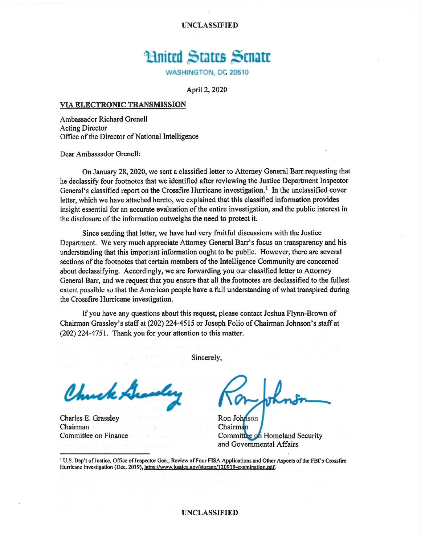**UNCLASSIFIED** 

## **Huited States Senate**

WASHINGTON, DC 20510

April 2, 2020

## VIA ELECTRONIC TRANSMISSION

Ambassador Richard Grenell **Acting Director** Office of the Director of National Intelligence

Dear Ambassador Grenell:

On January 28, 2020, we sent a classified letter to Attorney General Barr requesting that he declassify four footnotes that we identified after reviewing the Justice Department Inspector General's classified report on the Crossfire Hurricane investigation.<sup>1</sup> In the unclassified cover letter, which we have attached hereto, we explained that this classified information provides insight essential for an accurate evaluation of the entire investigation, and the public interest in the disclosure of the information outweighs the need to protect it.

Since sending that letter, we have had very fruitful discussions with the Justice Department. We very much appreciate Attorney General Barr's focus on transparency and his understanding that this important information ought to be public. However, there are several sections of the footnotes that certain members of the Intelligence Community are concerned about declassifying. Accordingly, we are forwarding you our classified letter to Attorney General Barr, and we request that you ensure that all the footnotes are declassified to the fullest extent possible so that the American people have a full understanding of what transpired during the Crossfire Hurricane investigation.

If you have any questions about this request, please contact Joshua Flynn-Brown of Chairman Grassley's staff at (202) 224-4515 or Joseph Folio of Chairman Johnson's staff at (202) 224-4751. Thank you for your attention to this matter.

Sincerely,

Chuck

Charles E. Grassley Chairman Committee on Finance

Ron Johnson Chairman Committee on Homeland Security and Governmental Affairs

<sup>1</sup> U.S. Dep't of Justice, Office of Inspector Gen., Review of Four FISA Applications and Other Aspects of the FBI's Crossfire Hurricane Investigation (Dec. 2019), https://www.justice.gov/storage/120919-examination.pdf.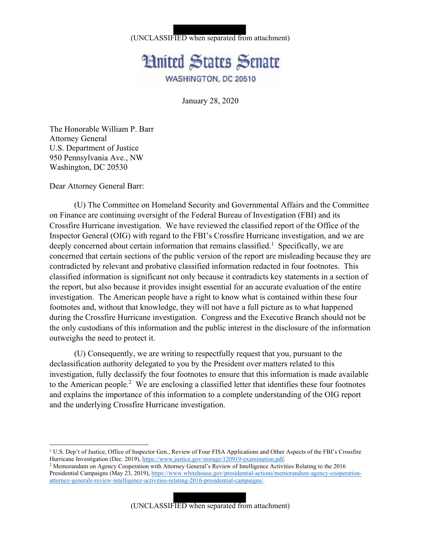## (UNCLASSIFIED when separated from attachment)



January 28, 2020

The Honorable William P. Barr Attorney General U.S. Department of Justice 950 Pennsylvania Ave., NW Washington, DC 20530

Dear Attorney General Barr:

(U) The Committee on Homeland Security and Governmental Affairs and the Committee on Finance are continuing oversight of the Federal Bureau of Investigation (FBI) and its Crossfire Hurricane investigation. We have reviewed the classified report of the Office of the Inspector General (OIG) with regard to the FBI's Crossfire Hurricane investigation, and we are deeply concerned about certain information that remains classified.<sup>1</sup> Specifically, we are concerned that certain sections of the public version of the report are misleading because they are contradicted by relevant and probative classified information redacted in four footnotes. This classified information is significant not only because it contradicts key statements in a section of the report, but also because it provides insight essential for an accurate evaluation of the entire investigation. The American people have a right to know what is contained within these four footnotes and, without that knowledge, they will not have a full picture as to what happened during the Crossfire Hurricane investigation. Congress and the Executive Branch should not be the only custodians of this information and the public interest in the disclosure of the information outweighs the need to protect it.

(U) Consequently, we are writing to respectfully request that you, pursuant to the declassification authority delegated to you by the President over matters related to this investigation, fully declassify the four footnotes to ensure that this information is made available to the American people.<sup>2</sup> We are enclosing a classified letter that identifies these four footnotes and explains the importance of this information to a complete understanding of the OIG report and the underlying Crossfire Hurricane investigation.

(UNCLASSIFIED when separated from attachment)

<sup>&</sup>lt;sup>1</sup> U.S. Dep't of Justice, Office of Inspector Gen., Review of Four FISA Applications and Other Aspects of the FBI's Crossfire Hurricane Investigation (Dec. 2019), https://www.justice.gov/storage/120919-examination.pdf.<br><sup>2</sup> Memorandum on Agency Cooperation with Attorney General's Review of Intelligence Activities Relating to the 2016

Presidential Campaigns (May 23, 2019), https://www.whitehouse.gov/presidential-actions/memorandum-agency-cooperationattorney-generals-review-intelligence-activities-relating-2016-presidential-campaigns/.